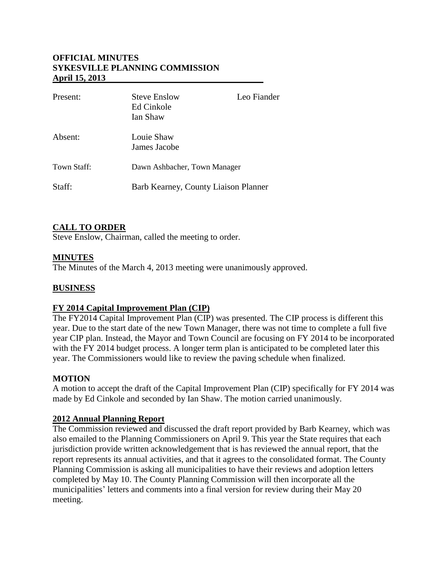# **OFFICIAL MINUTES SYKESVILLE PLANNING COMMISSION April 15, 2013**

| Present:    | <b>Steve Enslow</b><br>Ed Cinkole<br>Ian Shaw | Leo Fiander |
|-------------|-----------------------------------------------|-------------|
| Absent:     | Louie Shaw<br>James Jacobe                    |             |
| Town Staff: | Dawn Ashbacher, Town Manager                  |             |
| Staff:      | Barb Kearney, County Liaison Planner          |             |

# **CALL TO ORDER**

Steve Enslow, Chairman, called the meeting to order.

### **MINUTES**

The Minutes of the March 4, 2013 meeting were unanimously approved.

### **BUSINESS**

# **FY 2014 Capital Improvement Plan (CIP)**

The FY2014 Capital Improvement Plan (CIP) was presented. The CIP process is different this year. Due to the start date of the new Town Manager, there was not time to complete a full five year CIP plan. Instead, the Mayor and Town Council are focusing on FY 2014 to be incorporated with the FY 2014 budget process. A longer term plan is anticipated to be completed later this year. The Commissioners would like to review the paving schedule when finalized.

#### **MOTION**

A motion to accept the draft of the Capital Improvement Plan (CIP) specifically for FY 2014 was made by Ed Cinkole and seconded by Ian Shaw. The motion carried unanimously.

#### **2012 Annual Planning Report**

The Commission reviewed and discussed the draft report provided by Barb Kearney, which was also emailed to the Planning Commissioners on April 9. This year the State requires that each jurisdiction provide written acknowledgement that is has reviewed the annual report, that the report represents its annual activities, and that it agrees to the consolidated format. The County Planning Commission is asking all municipalities to have their reviews and adoption letters completed by May 10. The County Planning Commission will then incorporate all the municipalities' letters and comments into a final version for review during their May 20 meeting.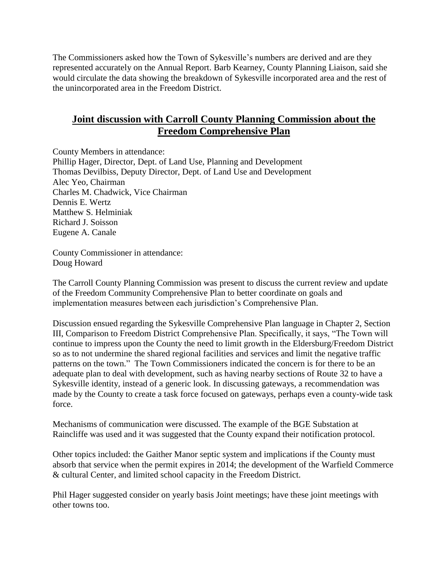The Commissioners asked how the Town of Sykesville's numbers are derived and are they represented accurately on the Annual Report. Barb Kearney, County Planning Liaison, said she would circulate the data showing the breakdown of Sykesville incorporated area and the rest of the unincorporated area in the Freedom District.

# **Joint discussion with Carroll County Planning Commission about the Freedom Comprehensive Plan**

County Members in attendance: Phillip Hager, Director, Dept. of Land Use, Planning and Development Thomas Devilbiss, Deputy Director, Dept. of Land Use and Development Alec Yeo, Chairman Charles M. Chadwick, Vice Chairman Dennis E. Wertz Matthew S. Helminiak Richard J. Soisson Eugene A. Canale

County Commissioner in attendance: Doug Howard

The Carroll County Planning Commission was present to discuss the current review and update of the Freedom Community Comprehensive Plan to better coordinate on goals and implementation measures between each jurisdiction's Comprehensive Plan.

Discussion ensued regarding the Sykesville Comprehensive Plan language in Chapter 2, Section III, Comparison to Freedom District Comprehensive Plan. Specifically, it says, "The Town will continue to impress upon the County the need to limit growth in the Eldersburg/Freedom District so as to not undermine the shared regional facilities and services and limit the negative traffic patterns on the town." The Town Commissioners indicated the concern is for there to be an adequate plan to deal with development, such as having nearby sections of Route 32 to have a Sykesville identity, instead of a generic look. In discussing gateways, a recommendation was made by the County to create a task force focused on gateways, perhaps even a county-wide task force.

Mechanisms of communication were discussed. The example of the BGE Substation at Raincliffe was used and it was suggested that the County expand their notification protocol.

Other topics included: the Gaither Manor septic system and implications if the County must absorb that service when the permit expires in 2014; the development of the Warfield Commerce & cultural Center, and limited school capacity in the Freedom District.

Phil Hager suggested consider on yearly basis Joint meetings; have these joint meetings with other towns too.